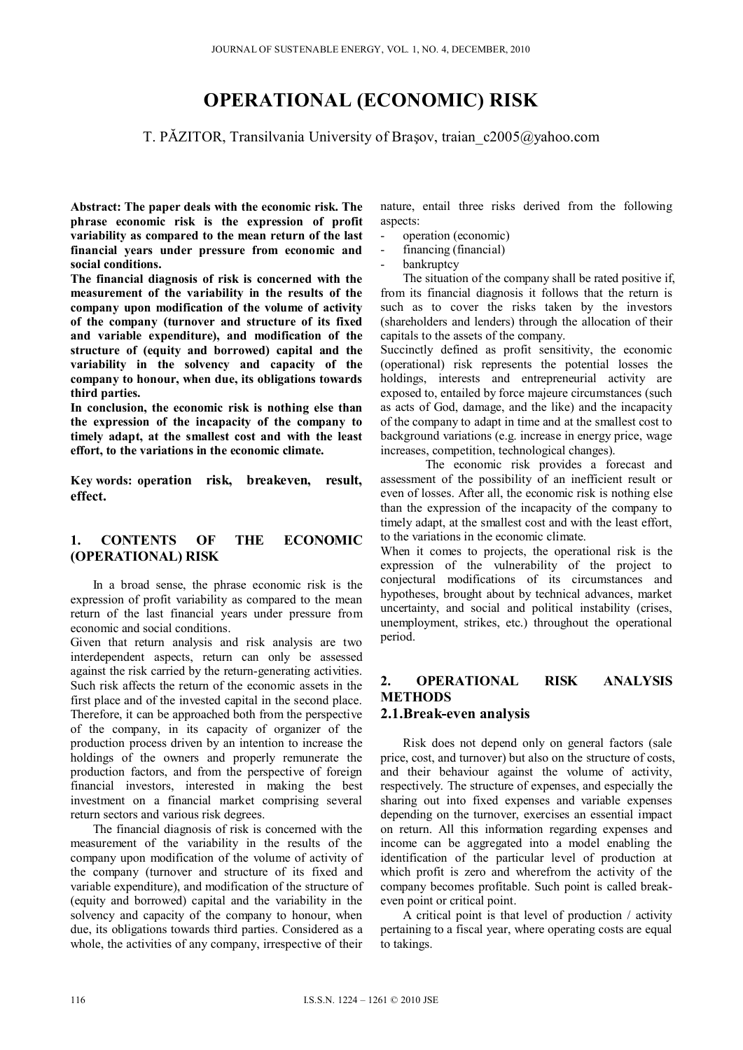# **OPERATIONAL (ECONOMIC) RISK**

T. PĂZITOR, Transilvania University of Brașov, traian  $c2005@yahoo.com$ 

**Abstract: The paper deals with the economic risk. The phrase economic risk is the expression of profit variability as compared to the mean return of the last financial years under pressure from economic and social conditions.** 

**The financial diagnosis of risk is concerned with the measurement of the variability in the results of the company upon modification of the volume of activity of the company (turnover and structure of its fixed and variable expenditure), and modification of the structure of (equity and borrowed) capital and the variability in the solvency and capacity of the company to honour, when due, its obligations towards third parties.** 

**In conclusion, the economic risk is nothing else than the expression of the incapacity of the company to timely adapt, at the smallest cost and with the least effort, to the variations in the economic climate.** 

**Key words: operation risk, breakeven, result, effect.** 

### **1. CONTENTS OF THE ECONOMIC (OPERATIONAL) RISK**

In a broad sense, the phrase economic risk is the expression of profit variability as compared to the mean return of the last financial years under pressure from economic and social conditions.

Given that return analysis and risk analysis are two interdependent aspects, return can only be assessed against the risk carried by the return-generating activities. Such risk affects the return of the economic assets in the first place and of the invested capital in the second place. Therefore, it can be approached both from the perspective of the company, in its capacity of organizer of the production process driven by an intention to increase the holdings of the owners and properly remunerate the production factors, and from the perspective of foreign financial investors, interested in making the best investment on a financial market comprising several return sectors and various risk degrees.

The financial diagnosis of risk is concerned with the measurement of the variability in the results of the company upon modification of the volume of activity of the company (turnover and structure of its fixed and variable expenditure), and modification of the structure of (equity and borrowed) capital and the variability in the solvency and capacity of the company to honour, when due, its obligations towards third parties. Considered as a whole, the activities of any company, irrespective of their

nature, entail three risks derived from the following aspects:

- operation (economic)
- financing (financial)
- bankruptcy

The situation of the company shall be rated positive if, from its financial diagnosis it follows that the return is such as to cover the risks taken by the investors (shareholders and lenders) through the allocation of their capitals to the assets of the company.

Succinctly defined as profit sensitivity, the economic (operational) risk represents the potential losses the holdings, interests and entrepreneurial activity are exposed to, entailed by force majeure circumstances (such as acts of God, damage, and the like) and the incapacity of the company to adapt in time and at the smallest cost to background variations (e.g. increase in energy price, wage increases, competition, technological changes).

The economic risk provides a forecast and assessment of the possibility of an inefficient result or even of losses. After all, the economic risk is nothing else than the expression of the incapacity of the company to timely adapt, at the smallest cost and with the least effort, to the variations in the economic climate.

When it comes to projects, the operational risk is the expression of the vulnerability of the project to conjectural modifications of its circumstances and hypotheses, brought about by technical advances, market uncertainty, and social and political instability (crises, unemployment, strikes, etc.) throughout the operational period.

## **2. OPERATIONAL RISK ANALYSIS METHODS**

### **2.1.Break-even analysis**

Risk does not depend only on general factors (sale price, cost, and turnover) but also on the structure of costs, and their behaviour against the volume of activity, respectively. The structure of expenses, and especially the sharing out into fixed expenses and variable expenses depending on the turnover, exercises an essential impact on return. All this information regarding expenses and income can be aggregated into a model enabling the identification of the particular level of production at which profit is zero and wherefrom the activity of the company becomes profitable. Such point is called breakeven point or critical point.

A critical point is that level of production / activity pertaining to a fiscal year, where operating costs are equal to takings.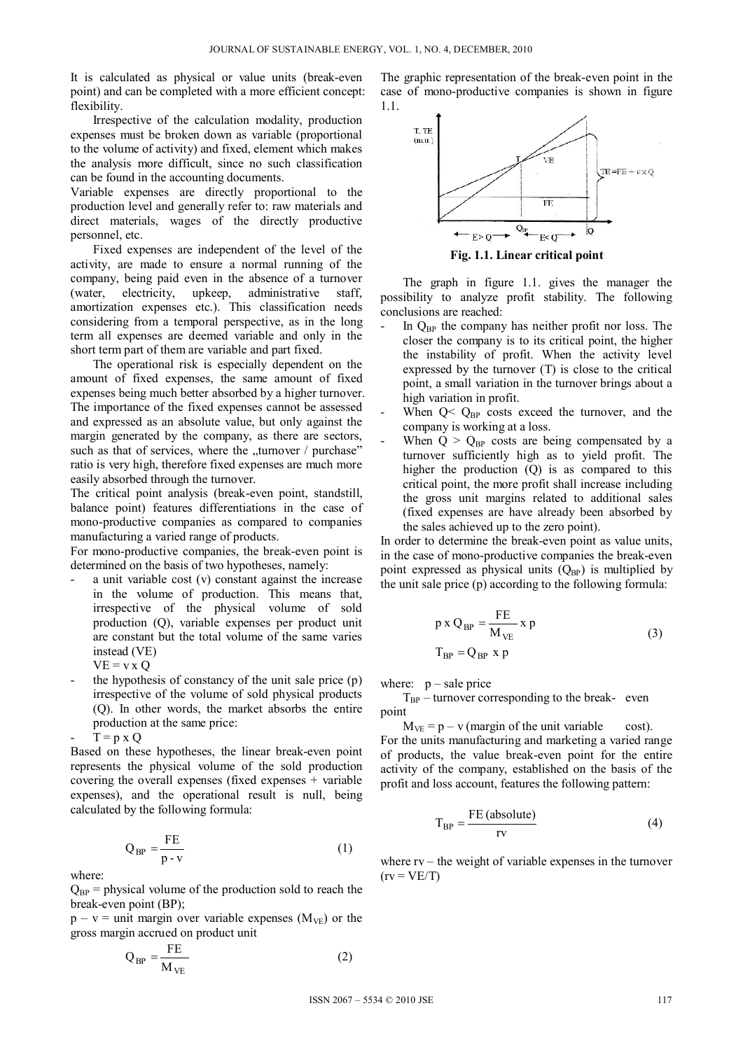It is calculated as physical or value units (break-even point) and can be completed with a more efficient concept: flexibility.

Irrespective of the calculation modality, production expenses must be broken down as variable (proportional to the volume of activity) and fixed, element which makes the analysis more difficult, since no such classification can be found in the accounting documents.

Variable expenses are directly proportional to the production level and generally refer to: raw materials and direct materials, wages of the directly productive personnel, etc.

Fixed expenses are independent of the level of the activity, are made to ensure a normal running of the company, being paid even in the absence of a turnover (water, electricity, upkeep, administrative staff, amortization expenses etc.). This classification needs considering from a temporal perspective, as in the long term all expenses are deemed variable and only in the short term part of them are variable and part fixed.

The operational risk is especially dependent on the amount of fixed expenses, the same amount of fixed expenses being much better absorbed by a higher turnover. The importance of the fixed expenses cannot be assessed and expressed as an absolute value, but only against the margin generated by the company, as there are sectors, such as that of services, where the  $\mu$ turnover / purchase" ratio is very high, therefore fixed expenses are much more easily absorbed through the turnover.

The critical point analysis (break-even point, standstill, balance point) features differentiations in the case of mono-productive companies as compared to companies manufacturing a varied range of products.

For mono-productive companies, the break-even point is determined on the basis of two hypotheses, namely:

- $a$  unit variable cost  $(v)$  constant against the increase in the volume of production. This means that, irrespective of the physical volume of sold production (Q), variable expenses per product unit are constant but the total volume of the same varies instead (VE)
	- $VE = v \times Q$
- the hypothesis of constancy of the unit sale price (p) irrespective of the volume of sold physical products (Q). In other words, the market absorbs the entire production at the same price:

$$
- \quad T = p \times Q
$$

Based on these hypotheses, the linear break-even point represents the physical volume of the sold production covering the overall expenses (fixed expenses + variable expenses), and the operational result is null, being calculated by the following formula:

$$
Q_{BP} = \frac{FE}{p - v} \tag{1}
$$

where:

 $Q_{BP}$  = physical volume of the production sold to reach the break-even point (BP);

 $p - v =$  unit margin over variable expenses ( $M_{VE}$ ) or the gross margin accrued on product unit

$$
Q_{BP} = \frac{FE}{M_{VE}} \tag{2}
$$

The graphic representation of the break-even point in the case of mono-productive companies is shown in figure 1.1.



**Fig. 1.1. Linear critical point** 

The graph in figure 1.1. gives the manager the possibility to analyze profit stability. The following conclusions are reached:

- In  $O_{BP}$  the company has neither profit nor loss. The closer the company is to its critical point, the higher the instability of profit. When the activity level expressed by the turnover (T) is close to the critical point, a small variation in the turnover brings about a high variation in profit.
- When  $Q < Q_{BP}$  costs exceed the turnover, and the company is working at a loss.
- When  $Q > Q_{BP}$  costs are being compensated by a turnover sufficiently high as to yield profit. The higher the production (Q) is as compared to this critical point, the more profit shall increase including the gross unit margins related to additional sales (fixed expenses are have already been absorbed by the sales achieved up to the zero point).

In order to determine the break-even point as value units, in the case of mono-productive companies the break-even point expressed as physical units  $(Q_{BP})$  is multiplied by the unit sale price (p) according to the following formula:

$$
p \times Q_{BP} = \frac{FE}{M_{VE}} \times p
$$
  
\n
$$
T_{BP} = Q_{BP} \times p
$$
\n(3)

where:  $p$  – sale price

 $T_{BP}$  – turnover corresponding to the break- even point

 $M_{VE} = p - v$  (margin of the unit variable cost). For the units manufacturing and marketing a varied range of products, the value break-even point for the entire activity of the company, established on the basis of the profit and loss account, features the following pattern:

$$
T_{BP} = \frac{FE \text{ (absolute)}}{\text{rv}} \tag{4}
$$

where  $rv$  – the weight of variable expenses in the turnover  $(rv = VE/T)$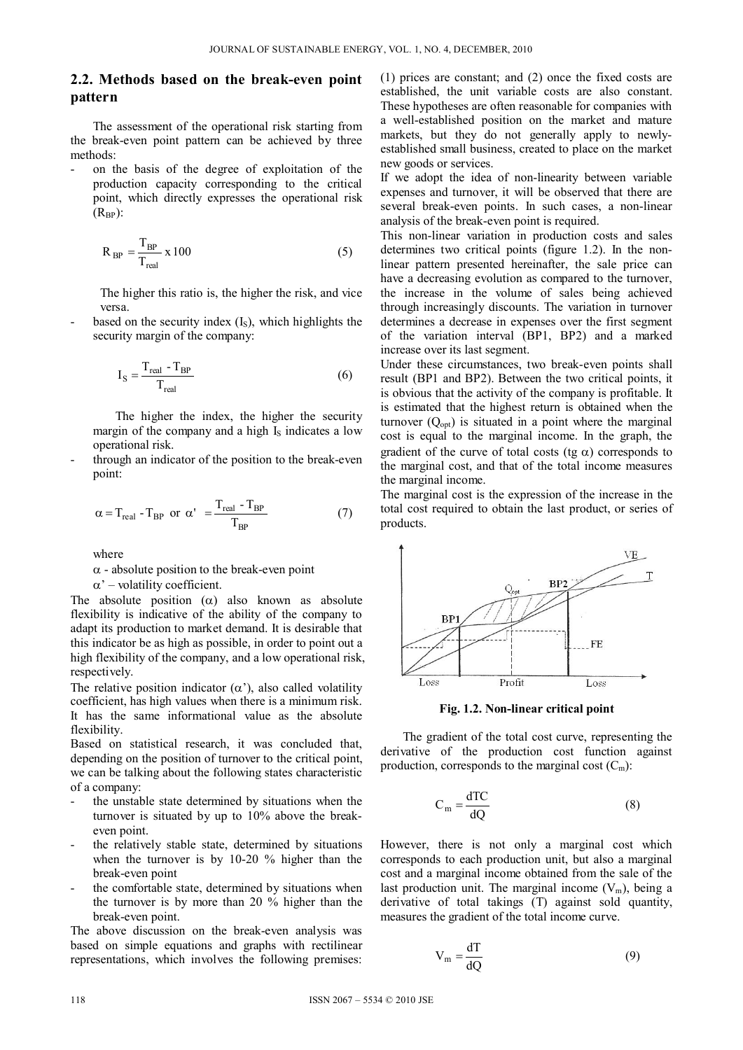### **2.2. Methods based on the break-even point pattern**

The assessment of the operational risk starting from the break-even point pattern can be achieved by three methods:

- on the basis of the degree of exploitation of the production capacity corresponding to the critical point, which directly expresses the operational risk  $(R_{BP})$ :

$$
R_{BP} = \frac{T_{BP}}{T_{real}} \times 100
$$
 (5)

The higher this ratio is, the higher the risk, and vice versa.

based on the security index  $(I<sub>S</sub>)$ , which highlights the security margin of the company:

$$
I_S = \frac{T_{\text{real}} - T_{\text{BP}}}{T_{\text{real}}}
$$
 (6)

The higher the index, the higher the security margin of the company and a high  $I<sub>S</sub>$  indicates a low operational risk.

through an indicator of the position to the break-even point:

$$
\alpha = T_{\text{real}} - T_{\text{BP}} \text{ or } \alpha' = \frac{T_{\text{real}} - T_{\text{BP}}}{T_{\text{BP}}} \tag{7}
$$

where

 $\alpha$  - absolute position to the break-even point

 $\alpha'$  – volatility coefficient.

The absolute position  $(\alpha)$  also known as absolute flexibility is indicative of the ability of the company to adapt its production to market demand. It is desirable that this indicator be as high as possible, in order to point out a high flexibility of the company, and a low operational risk, respectively.

The relative position indicator  $(\alpha')$ , also called volatility coefficient, has high values when there is a minimum risk. It has the same informational value as the absolute flexibility.

Based on statistical research, it was concluded that, depending on the position of turnover to the critical point, we can be talking about the following states characteristic of a company:

- the unstable state determined by situations when the turnover is situated by up to 10% above the breakeven point.
- the relatively stable state, determined by situations when the turnover is by 10-20 % higher than the break-even point
- the comfortable state, determined by situations when the turnover is by more than 20 % higher than the break-even point.

The above discussion on the break-even analysis was based on simple equations and graphs with rectilinear representations, which involves the following premises: (1) prices are constant; and (2) once the fixed costs are established, the unit variable costs are also constant. These hypotheses are often reasonable for companies with a well-established position on the market and mature markets, but they do not generally apply to newlyestablished small business, created to place on the market new goods or services.

If we adopt the idea of non-linearity between variable expenses and turnover, it will be observed that there are several break-even points. In such cases, a non-linear analysis of the break-even point is required.

This non-linear variation in production costs and sales determines two critical points (figure 1.2). In the nonlinear pattern presented hereinafter, the sale price can have a decreasing evolution as compared to the turnover, the increase in the volume of sales being achieved through increasingly discounts. The variation in turnover determines a decrease in expenses over the first segment of the variation interval (BP1, BP2) and a marked increase over its last segment.

Under these circumstances, two break-even points shall result (BP1 and BP2). Between the two critical points, it is obvious that the activity of the company is profitable. It is estimated that the highest return is obtained when the turnover  $(Q<sub>opt</sub>)$  is situated in a point where the marginal cost is equal to the marginal income. In the graph, the gradient of the curve of total costs (tg  $\alpha$ ) corresponds to the marginal cost, and that of the total income measures the marginal income.

The marginal cost is the expression of the increase in the total cost required to obtain the last product, or series of products.



**Fig. 1.2. Non-linear critical point** 

The gradient of the total cost curve, representing the derivative of the production cost function against production, corresponds to the marginal cost  $(C_m)$ :

$$
C_m = \frac{dTC}{dQ} \tag{8}
$$

However, there is not only a marginal cost which corresponds to each production unit, but also a marginal cost and a marginal income obtained from the sale of the last production unit. The marginal income  $(V_m)$ , being a derivative of total takings (T) against sold quantity, measures the gradient of the total income curve.

$$
V_m = \frac{dT}{dQ}
$$
 (9)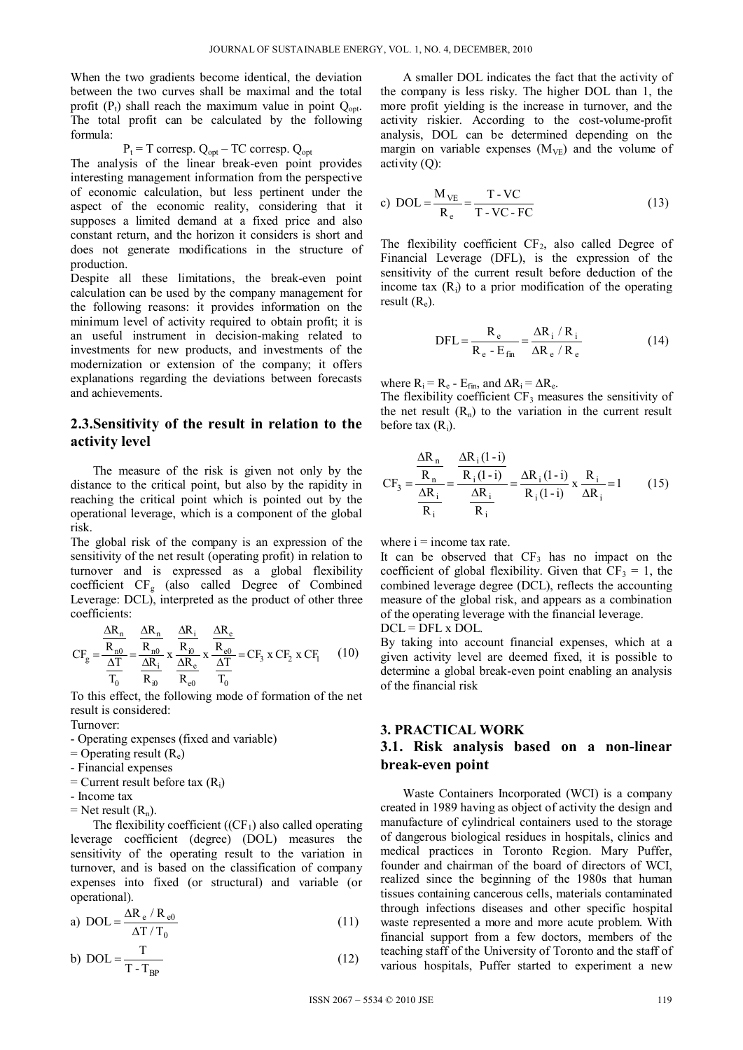When the two gradients become identical, the deviation between the two curves shall be maximal and the total profit  $(P_t)$  shall reach the maximum value in point  $Q_{\text{out}}$ . The total profit can be calculated by the following formula:

 $P_t = T$  corresp.  $Q_{opt} - TC$  corresp.  $Q_{opt}$ 

The analysis of the linear break-even point provides interesting management information from the perspective of economic calculation, but less pertinent under the aspect of the economic reality, considering that it supposes a limited demand at a fixed price and also constant return, and the horizon it considers is short and does not generate modifications in the structure of production.

Despite all these limitations, the break-even point calculation can be used by the company management for the following reasons: it provides information on the minimum level of activity required to obtain profit; it is an useful instrument in decision-making related to investments for new products, and investments of the modernization or extension of the company; it offers explanations regarding the deviations between forecasts and achievements.

### **2.3.Sensitivity of the result in relation to the activity level**

The measure of the risk is given not only by the distance to the critical point, but also by the rapidity in reaching the critical point which is pointed out by the operational leverage, which is a component of the global risk.

The global risk of the company is an expression of the sensitivity of the net result (operating profit) in relation to turnover and is expressed as a global flexibility coefficient CFg (also called Degree of Combined Leverage: DCL), interpreted as the product of other three coefficients:

$$
CF_g = \frac{\frac{\Delta R_n}{R_{n0}}}{\frac{\Delta T}{T_0}} = \frac{\frac{\Delta R_n}{R_{n0}}}{\frac{\Delta R_i}{R_{i0}}} \times \frac{\frac{\Delta R_i}{R_{i0}}}{\frac{\Delta R_e}{R_{e0}}} \times \frac{\frac{\Delta R_e}{R_{e0}}}{T_0} = CF_3 \times CF_2 \times CF_1 \tag{10}
$$

To this effect, the following mode of formation of the net result is considered:

Turnover:

- Operating expenses (fixed and variable)
- $=$  Operating result  $(R_e)$
- Financial expenses
- $=$  Current result before tax  $(R<sub>i</sub>)$
- Income tax
- $=$  Net result  $(R_n)$ .

The flexibility coefficient  $((CF<sub>1</sub>)$  also called operating leverage coefficient (degree) (DOL) measures the sensitivity of the operating result to the variation in turnover, and is based on the classification of company expenses into fixed (or structural) and variable (or operational).

a) 
$$
DOL = \frac{\Delta R_e / R_{e0}}{\Delta T / T_0}
$$
 (11)

$$
b) \ \mathrm{DOL} = \frac{T}{T - T_{BP}} \tag{12}
$$

A smaller DOL indicates the fact that the activity of the company is less risky. The higher DOL than 1, the more profit yielding is the increase in turnover, and the activity riskier. According to the cost-volume-profit analysis, DOL can be determined depending on the margin on variable expenses  $(M_{VE})$  and the volume of activity  $(O)$ :

c) DOL = 
$$
\frac{M_{VE}}{R_e} = \frac{T - VC}{T - VC - FC}
$$
 (13)

The flexibility coefficient  $CF<sub>2</sub>$ , also called Degree of Financial Leverage (DFL), is the expression of the sensitivity of the current result before deduction of the income tax  $(R_i)$  to a prior modification of the operating result  $(R_e)$ .

$$
DFL = \frac{R_e}{R_e - E_{fin}} = \frac{\Delta R_i / R_i}{\Delta R_e / R_e}
$$
(14)

where  $R_i = R_e - E_{fin}$ , and  $\Delta R_i = \Delta R_e$ .

The flexibility coefficient  $CF_3$  measures the sensitivity of the net result  $(R_n)$  to the variation in the current result before tax  $(R_i)$ .

$$
CF_3 = \frac{\frac{\Delta R_n}{R_n}}{\frac{\Delta R_i}{R_i}} = \frac{\frac{\Delta R_i (1-i)}{R_i (1-i)}}{\frac{\Delta R_i}{R_i}} = \frac{\Delta R_i (1-i)}{R_i (1-i)} \times \frac{R_i}{\Delta R_i} = 1
$$
 (15)

where  $i =$  income tax rate.

It can be observed that  $CF<sub>3</sub>$  has no impact on the coefficient of global flexibility. Given that  $CF_3 = 1$ , the combined leverage degree (DCL), reflects the accounting measure of the global risk, and appears as a combination of the operating leverage with the financial leverage.

 $DCL = DFL \times DOL$ .

By taking into account financial expenses, which at a given activity level are deemed fixed, it is possible to determine a global break-even point enabling an analysis of the financial risk

## **3. PRACTICAL WORK**

### **3.1. Risk analysis based on a non-linear break-even point**

Waste Containers Incorporated (WCI) is a company created in 1989 having as object of activity the design and manufacture of cylindrical containers used to the storage of dangerous biological residues in hospitals, clinics and medical practices in Toronto Region. Mary Puffer, founder and chairman of the board of directors of WCI, realized since the beginning of the 1980s that human tissues containing cancerous cells, materials contaminated through infections diseases and other specific hospital waste represented a more and more acute problem. With financial support from a few doctors, members of the teaching staff of the University of Toronto and the staff of various hospitals, Puffer started to experiment a new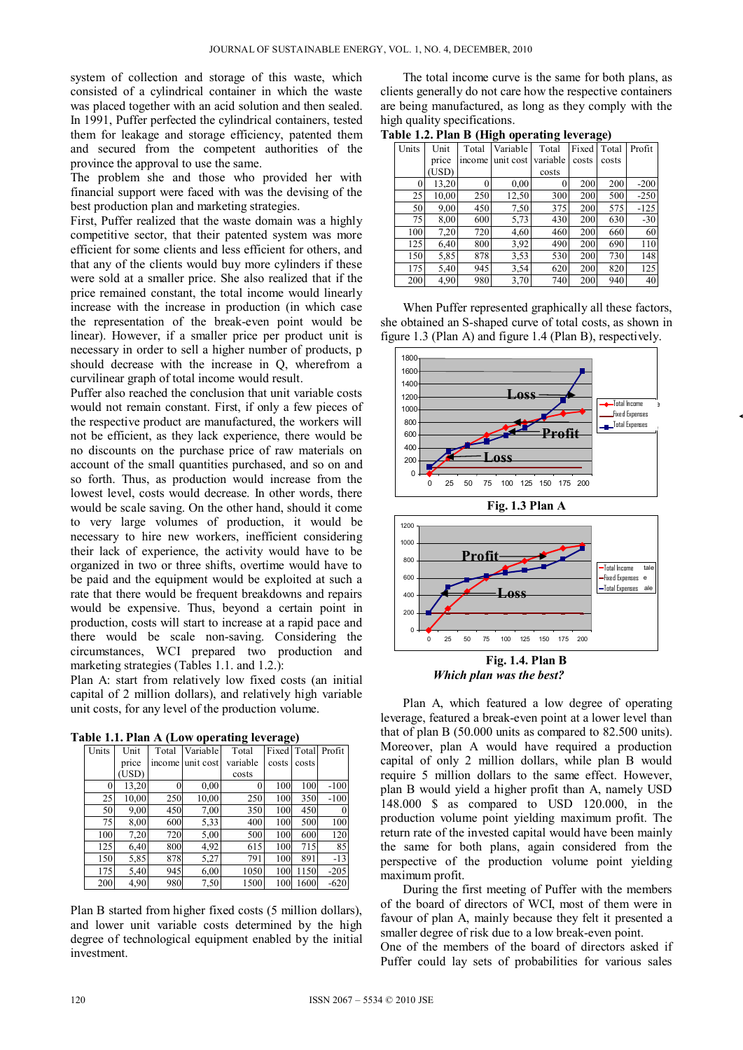system of collection and storage of this waste, which consisted of a cylindrical container in which the waste was placed together with an acid solution and then sealed. In 1991, Puffer perfected the cylindrical containers, tested them for leakage and storage efficiency, patented them and secured from the competent authorities of the province the approval to use the same.

The problem she and those who provided her with financial support were faced with was the devising of the best production plan and marketing strategies.

First, Puffer realized that the waste domain was a highly competitive sector, that their patented system was more efficient for some clients and less efficient for others, and that any of the clients would buy more cylinders if these were sold at a smaller price. She also realized that if the price remained constant, the total income would linearly increase with the increase in production (in which case the representation of the break-even point would be linear). However, if a smaller price per product unit is necessary in order to sell a higher number of products, p should decrease with the increase in Q, wherefrom a curvilinear graph of total income would result.

Puffer also reached the conclusion that unit variable costs would not remain constant. First, if only a few pieces of the respective product are manufactured, the workers will not be efficient, as they lack experience, there would be no discounts on the purchase price of raw materials on account of the small quantities purchased, and so on and so forth. Thus, as production would increase from the lowest level, costs would decrease. In other words, there would be scale saving. On the other hand, should it come to very large volumes of production, it would be necessary to hire new workers, inefficient considering their lack of experience, the activity would have to be organized in two or three shifts, overtime would have to be paid and the equipment would be exploited at such a rate that there would be frequent breakdowns and repairs would be expensive. Thus, beyond a certain point in production, costs will start to increase at a rapid pace and there would be scale non-saving. Considering the circumstances, WCI prepared two production and marketing strategies (Tables 1.1. and 1.2.):

Plan A: start from relatively low fixed costs (an initial capital of 2 million dollars), and relatively high variable unit costs, for any level of the production volume.

| Table 1.1. Plan A (Low operating leverage) |  |  |  |
|--------------------------------------------|--|--|--|
|--------------------------------------------|--|--|--|

| Units | Unit  | Total  | Variable  | Total    |       |       | Fixed Total Profit |
|-------|-------|--------|-----------|----------|-------|-------|--------------------|
|       | price | income | unit cost | variable | costs | costs |                    |
|       | (USD) |        |           | costs    |       |       |                    |
| 0     | 13,20 |        | 0,00      | 0        | 100   | 100   | $-100$             |
| 25    | 10,00 | 250    | 10,00     | 250      | 100   | 350   | $-100$             |
| 50    | 9,00  | 450    | 7,00      | 350      | 100   | 450   | $\Omega$           |
| 75    | 8,00  | 600    | 5,33      | 400      | 100   | 500   | 100                |
| 100   | 7,20  | 720    | 5,00      | 500      | 100   | 600   | 120                |
| 125   | 6,40  | 800    | 4,92      | 615      | 100   | 715   | 85                 |
| 150   | 5,85  | 878    | 5,27      | 791      | 100   | 891   | $-13$              |
| 175   | 5,40  | 945    | 6,00      | 1050     | 100   | 1150  | $-205$             |
| 200   | 4,90  | 980    | 7.50      | 1500     | 100   | 1600  | $-620$             |

Plan B started from higher fixed costs (5 million dollars), and lower unit variable costs determined by the high degree of technological equipment enabled by the initial investment.

The total income curve is the same for both plans, as clients generally do not care how the respective containers are being manufactured, as long as they comply with the high quality specifications.

| Table 1.2. Plan B (High operating leverage) |  |  |
|---------------------------------------------|--|--|
|                                             |  |  |

| Units | Unit  | Total  | Variable  | Total    | Fixed | Total | Profit |
|-------|-------|--------|-----------|----------|-------|-------|--------|
|       | price | income | unit cost | variable | costs | costs |        |
|       | USD)  |        |           | costs    |       |       |        |
| 0     | 13,20 | 0      | 0.00      | 0        | 200   | 200   | $-200$ |
| 25    | 10,00 | 250    | 12,50     | 300      | 200   | 500   | $-250$ |
| 50    | 9,00  | 450    | 7.50      | 375      | 200   | 575   | $-125$ |
| 75    | 8,00  | 600    | 5,73      | 430      | 200   | 630   | $-30$  |
| 100   | 7.20  | 720    | 4,60      | 460      | 200   | 660   | 60     |
| 125   | 6,40  | 800    | 3.92      | 490      | 200   | 690   | 110    |
| 150   | 5,85  | 878    | 3.53      | 530      | 200   | 730   | 148    |
| 175   | 5,40  | 945    | 3.54      | 620      | 200   | 820   | 125    |
| 200   | 4,90  | 980    | 3,70      | 740      | 200   | 940   | 40     |

When Puffer represented graphically all these factors, she obtained an S-shaped curve of total costs, as shown in figure 1.3 (Plan A) and figure 1.4 (Plan B), respectively.



**Fig. 1.3 Plan A** 



**Fig. 1.4. Plan B**  *Which plan was the best?* 

Plan A, which featured a low degree of operating leverage, featured a break-even point at a lower level than that of plan B (50.000 units as compared to 82.500 units). Moreover, plan A would have required a production capital of only 2 million dollars, while plan B would require 5 million dollars to the same effect. However, plan B would yield a higher profit than A, namely USD 148.000 \$ as compared to USD 120.000, in the production volume point yielding maximum profit. The return rate of the invested capital would have been mainly the same for both plans, again considered from the perspective of the production volume point yielding maximum profit.

During the first meeting of Puffer with the members of the board of directors of WCI, most of them were in favour of plan A, mainly because they felt it presented a smaller degree of risk due to a low break-even point. One of the members of the board of directors asked if

Puffer could lay sets of probabilities for various sales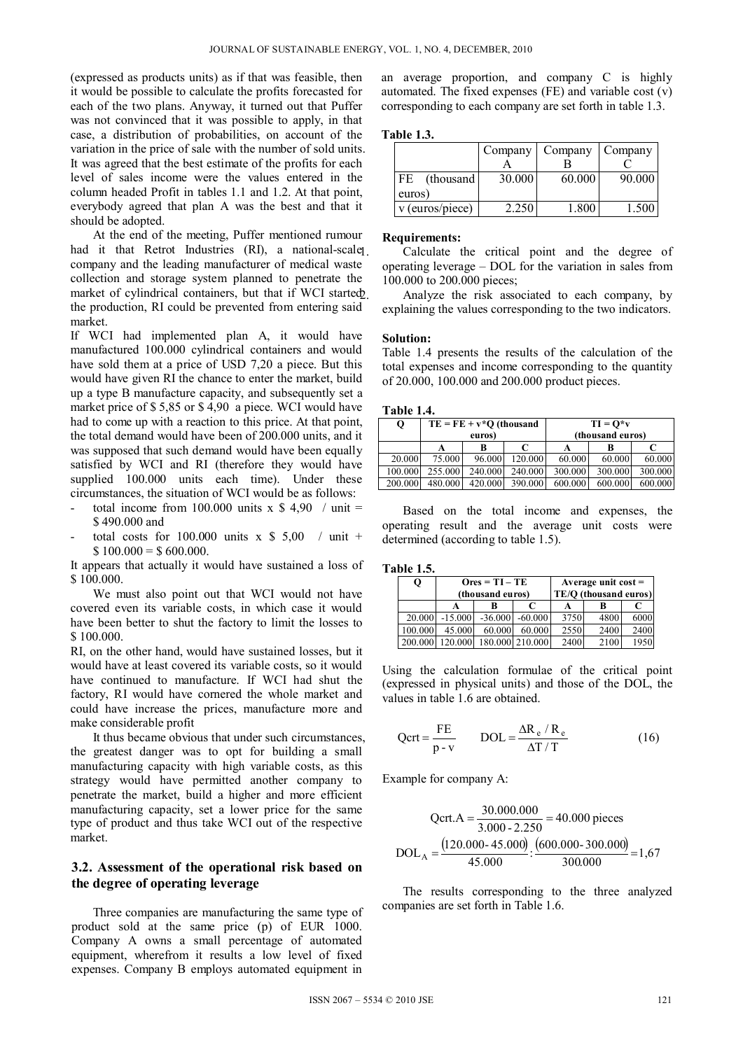(expressed as products units) as if that was feasible, then it would be possible to calculate the profits forecasted for each of the two plans. Anyway, it turned out that Puffer was not convinced that it was possible to apply, in that case, a distribution of probabilities, on account of the variation in the price of sale with the number of sold units. It was agreed that the best estimate of the profits for each level of sales income were the values entered in the column headed Profit in tables 1.1 and 1.2. At that point, everybody agreed that plan A was the best and that it should be adopted.

At the end of the meeting, Puffer mentioned rumour had it that Retrot Industries (RI), a national-scale<sub>l</sub>. company and the leading manufacturer of medical waste collection and storage system planned to penetrate the market of cylindrical containers, but that if WCI started the production, RI could be prevented from entering said market.

If WCI had implemented plan A, it would have manufactured 100.000 cylindrical containers and would have sold them at a price of USD 7,20 a piece. But this would have given RI the chance to enter the market, build up a type B manufacture capacity, and subsequently set a market price of \$ 5,85 or \$ 4,90 a piece. WCI would have had to come up with a reaction to this price. At that point, the total demand would have been of 200.000 units, and it was supposed that such demand would have been equally satisfied by WCI and RI (therefore they would have supplied 100.000 units each time). Under these circumstances, the situation of WCI would be as follows:

- total income from 100.000 units x  $$ 4,90$  / unit = \$ 490.000 and
- total costs for  $100.000$  units x \$ 5,00 / unit +  $$100.000 = $600.000$ .

It appears that actually it would have sustained a loss of \$ 100.000.

We must also point out that WCI would not have covered even its variable costs, in which case it would have been better to shut the factory to limit the losses to \$ 100.000.

RI, on the other hand, would have sustained losses, but it would have at least covered its variable costs, so it would have continued to manufacture. If WCI had shut the factory, RI would have cornered the whole market and could have increase the prices, manufacture more and make considerable profit

It thus became obvious that under such circumstances, the greatest danger was to opt for building a small manufacturing capacity with high variable costs, as this strategy would have permitted another company to penetrate the market, build a higher and more efficient manufacturing capacity, set a lower price for the same type of product and thus take WCI out of the respective market.

#### **3.2. Assessment of the operational risk based on the degree of operating leverage**

Three companies are manufacturing the same type of product sold at the same price (p) of EUR 1000. Company A owns a small percentage of automated equipment, wherefrom it results a low level of fixed expenses. Company B employs automated equipment in

an average proportion, and company C is highly automated. The fixed expenses (FE) and variable cost (v) corresponding to each company are set forth in table 1.3.

#### **Table 1.3.**

|                   | Company | Company | Company           |
|-------------------|---------|---------|-------------------|
|                   |         |         |                   |
| (thousand)<br>FE. | 30.000  | 60.000  | 90.000            |
| euros)            |         |         |                   |
| v (euros/piece)   | 2 250   | 1.800   | 1.50 <sub>0</sub> |

#### **Requirements:**

Calculate the critical point and the degree of operating leverage – DOL for the variation in sales from 100.000 to 200.000 pieces;

Analyze the risk associated to each company, by explaining the values corresponding to the two indicators.

#### **Solution:**

Table 1.4 presents the results of the calculation of the total expenses and income corresponding to the quantity of 20.000, 100.000 and 200.000 product pieces.

#### **Table 1.4.**

| Q       | $TE = FE + v * O$ (thousand |         |         |         | $TI = O*V$       |         |
|---------|-----------------------------|---------|---------|---------|------------------|---------|
|         | euros)                      |         |         |         | (thousand euros) |         |
|         |                             | В       |         |         |                  |         |
| 20,000  | 75.000                      | 96.000  | 120,000 | 60,000  | 60.000           | 60.000  |
| 100.000 | 255,000                     | 240,000 | 240,000 | 300,000 | 300,000          | 300,000 |
| 200,000 | 480.000                     | 420.000 | 390.000 | 600,000 | 600.000          | 600.000 |

Based on the total income and expenses, the operating result and the average unit costs were determined (according to table 1.5).

**Table 1.5.** 

| Q       | $Ores = TI - TE$<br>(thousand euros) |           |                 |      | Average unit $cost =$<br>TE/O (thousand euros) |      |
|---------|--------------------------------------|-----------|-----------------|------|------------------------------------------------|------|
|         |                                      | R         |                 |      |                                                |      |
| 20.000  | $-15,000$                            | $-36,000$ | $-60.000$       | 3750 | 4800                                           | 6000 |
| 100.000 | 45,000                               | 60.000    | 60.000          | 2550 | 2400                                           | 2400 |
| 200,000 | 120.000                              |           | 180.000 210.000 | 2400 | 2100                                           | 1950 |

Using the calculation formulae of the critical point (expressed in physical units) and those of the DOL, the values in table 1.6 are obtained.

$$
Qert = \frac{FE}{p - v} \qquad DOL = \frac{\Delta R_e / R_e}{\Delta T / T}
$$
 (16)

Example for company A:

Qert.A = 
$$
\frac{30.000.000}{3.000 - 2.250}
$$
 = 40.000 pieces  
DOL<sub>A</sub> =  $\frac{(120.000 - 45.000)}{45.000}$  :  $\frac{(600.000 - 300.000)}{300.000}$  = 1,67

The results corresponding to the three analyzed companies are set forth in Table 1.6.